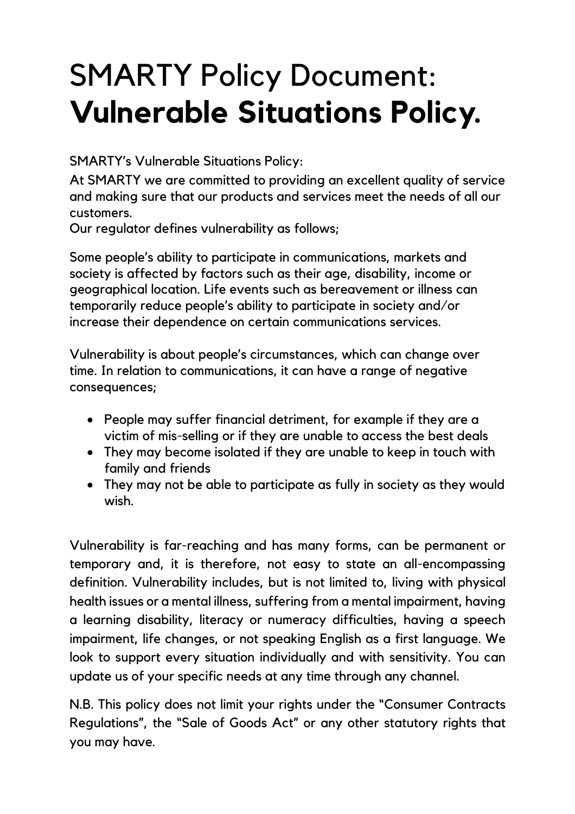## SMARTY Policy Document: **Vulnerable Situations Policy.**

SMARTY's Vulnerable Situations Policy:

At SMARTY we are committed to providing an excellent quality of service and making sure that our products and services meet the needs of all our customers.

Our regulator defines vulnerability as follows;

Some people's ability to participate in communications, markets and society is affected by factors such as their age, disability, income or geographical location. Life events such as bereavement or illness can temporarily reduce people's ability to participate in society and/or increase their dependence on certain communications services.

Vulnerability is about people's circumstances, which can change over time. In relation to communications, it can have a range of negative consequences;

- People may suffer financial detriment, for example if they are a victim of mis-selling or if they are unable to access the best deals
- They may become isolated if they are unable to keep in touch with family and friends
- They may not be able to participate as fully in society as they would wish.

Vulnerability is far-reaching and has many forms, can be permanent or temporary and, it is therefore, not easy to state an all-encompassing definition. Vulnerability includes, but is not limited to, living with physical health issues or a mental illness, suffering from a mental impairment, having a learning disability, literacy or numeracy difficulties, having a speech impairment, life changes, or not speaking English as a first language. We look to support every situation individually and with sensitivity. You can update us of your specific needs at any time through any channel.

N.B. This policy does not limit your rights under the "Consumer Contracts Regulations", the "Sale of Goods Act" or any other statutory rights that you may have.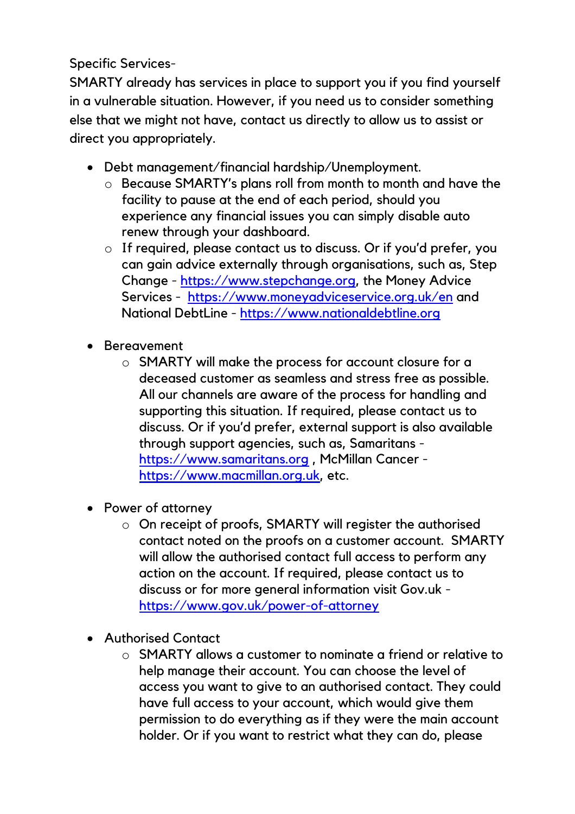Specific Services-

SMARTY already has services in place to support you if you find yourself in a vulnerable situation. However, if you need us to consider something else that we might not have, contact us directly to allow us to assist or direct you appropriately.

- Debt management/financial hardship/Unemployment.
	- o Because SMARTY's plans roll from month to month and have the facility to pause at the end of each period, should you experience any financial issues you can simply disable auto renew through your dashboard.
	- o If required, please contact us to discuss. Or if you'd prefer, you can gain advice externally through organisations, such as, Step Change - https://www.stepchange.org, the Money Advice Services - https://www.moneyadviceservice.org.uk/en and National DebtLine - https://www.nationaldebtline.org
- Bereavement
	- o SMARTY will make the process for account closure for a deceased customer as seamless and stress free as possible. All our channels are aware of the process for handling and supporting this situation. If required, please contact us to discuss. Or if you'd prefer, external support is also available through support agencies, such as, Samaritans https://www.samaritans.org , McMillan Cancer https://www.macmillan.org.uk, etc.
- Power of attorney
	- o On receipt of proofs, SMARTY will register the authorised contact noted on the proofs on a customer account. SMARTY will allow the authorised contact full access to perform any action on the account. If required, please contact us to discuss or for more general information visit Gov.uk https://www.gov.uk/power-of-attorney
- Authorised Contact
	- o SMARTY allows a customer to nominate a friend or relative to help manage their account. You can choose the level of access you want to give to an authorised contact. They could have full access to your account, which would give them permission to do everything as if they were the main account holder. Or if you want to restrict what they can do, please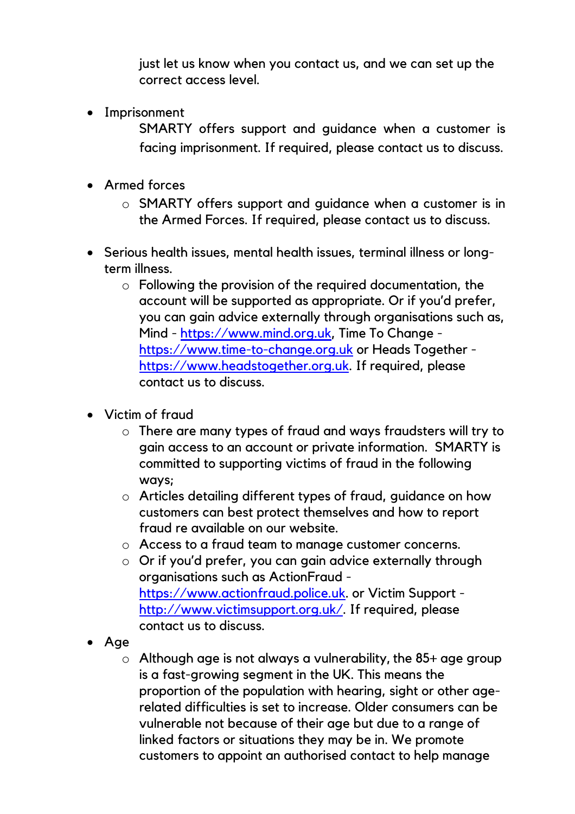just let us know when you contact us, and we can set up the correct access level.

• Imprisonment

SMARTY offers support and guidance when a customer is facing imprisonment. If required, please contact us to discuss.

- Armed forces
	- o SMARTY offers support and guidance when a customer is in the Armed Forces. If required, please contact us to discuss.
- Serious health issues, mental health issues, terminal illness or longterm illness.
	- o Following the provision of the required documentation, the account will be supported as appropriate. Or if you'd prefer, you can gain advice externally through organisations such as, Mind - https://www.mind.org.uk, Time To Change https://www.time-to-change.org.uk or Heads Together https://www.headstogether.org.uk. If required, please contact us to discuss.
- Victim of fraud
	- o There are many types of fraud and ways fraudsters will try to gain access to an account or private information. SMARTY is committed to supporting victims of fraud in the following ways;
	- o Articles detailing different types of fraud, guidance on how customers can best protect themselves and how to report fraud re available on our website.
	- o Access to a fraud team to manage customer concerns.
	- o Or if you'd prefer, you can gain advice externally through organisations such as ActionFraud https://www.actionfraud.police.uk. or Victim Support http://www.victimsupport.org.uk/. If required, please contact us to discuss.
- Age
	- $\circ$  Although age is not always a vulnerability, the 85+ age group is a fast-growing segment in the UK. This means the proportion of the population with hearing, sight or other agerelated difficulties is set to increase. Older consumers can be vulnerable not because of their age but due to a range of linked factors or situations they may be in. We promote customers to appoint an authorised contact to help manage